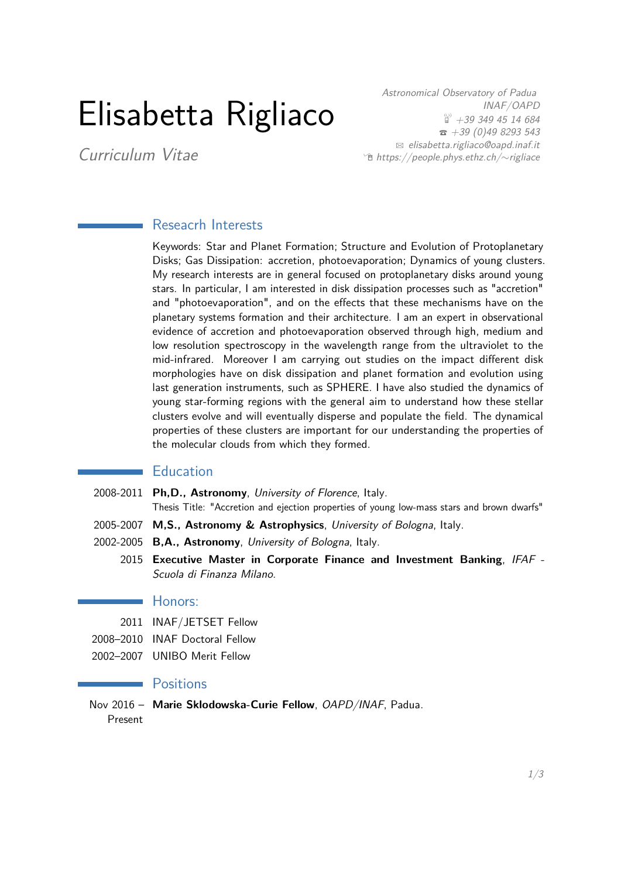# Elisabetta Rigliaco

Astronomical Observatory of Padua INAF/OAPD  $\overset{\text{\tiny{(3)}}}{\text{ii}}$  +39 349 45 14 684  $\bar{3}$  +39 (0)49 8293 543  $\boxtimes$  [elisabetta.rigliaco@oapd.inaf.it](mailto:elisabetta.rigliaco@oapd.inaf.it) Í [https://people.phys.ethz.ch/](http://https://people.phys.ethz.ch/~rigliace/)∼rigliace

Curriculum Vitae

## Reseacrh Interests

Keywords: Star and Planet Formation; Structure and Evolution of Protoplanetary Disks; Gas Dissipation: accretion, photoevaporation; Dynamics of young clusters. My research interests are in general focused on protoplanetary disks around young stars. In particular, I am interested in disk dissipation processes such as "accretion" and "photoevaporation", and on the effects that these mechanisms have on the planetary systems formation and their architecture. I am an expert in observational evidence of accretion and photoevaporation observed through high, medium and low resolution spectroscopy in the wavelength range from the ultraviolet to the mid-infrared. Moreover I am carrying out studies on the impact different disk morphologies have on disk dissipation and planet formation and evolution using last generation instruments, such as SPHERE. I have also studied the dynamics of young star-forming regions with the general aim to understand how these stellar clusters evolve and will eventually disperse and populate the field. The dynamical properties of these clusters are important for our understanding the properties of the molecular clouds from which they formed.

#### **Education**

- 2008-2011 **Ph,D., Astronomy**, University of Florence, Italy. Thesis Title: "Accretion and ejection properties of young low-mass stars and brown dwarfs"
- 2005-2007 **M,S., Astronomy & Astrophysics**, University of Bologna, Italy.
- 2002-2005 **B,A., Astronomy**, University of Bologna, Italy.
	- 2015 **Executive Master in Corporate Finance and Investment Banking**, IFAF Scuola di Finanza Milano.

#### **Honors:**

- 2011 INAF/JETSET Fellow
- 2008–2010 INAF Doctoral Fellow
- 2002–2007 UNIBO Merit Fellow

## **Positions**

Nov 2016 – **Marie Sklodowska-Curie Fellow**, OAPD/INAF, Padua. Present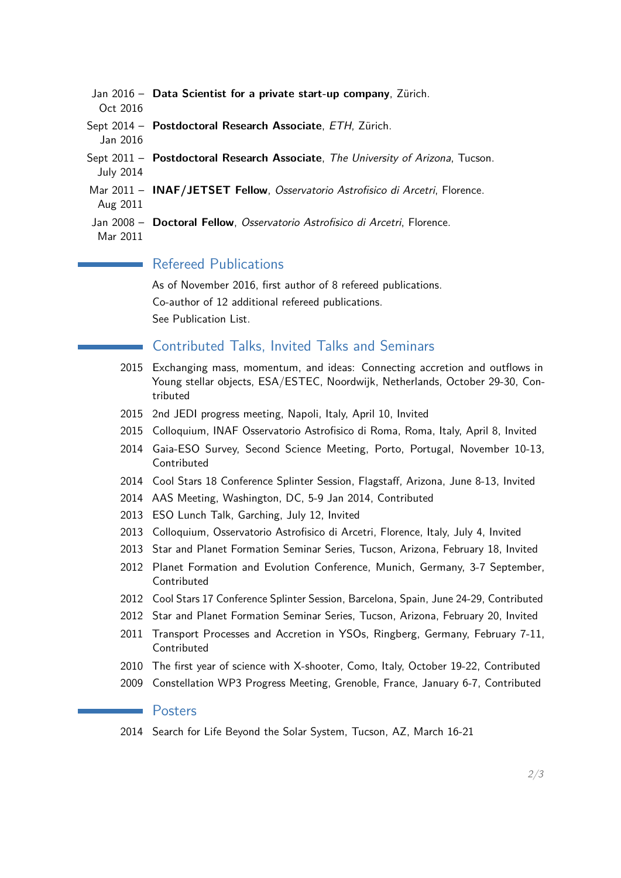- Jan 2016 **Data Scientist for a private start-up company**, Zürich.
- Oct 2016
- Sept 2014 **Postdoctoral Research Associate**, ETH, Zürich.
- Jan 2016
- Sept 2011 **Postdoctoral Research Associate**, The University of Arizona, Tucson. July 2014
- Mar 2011 **INAF/JETSET Fellow**, Osservatorio Astrofisico di Arcetri, Florence. Aug 2011
- Jan 2008 **Doctoral Fellow**, Osservatorio Astrofisico di Arcetri, Florence. Mar 2011

# Refereed Publications

As of November 2016, first author of 8 refereed publications. Co-author of 12 additional refereed publications. See Publication List.

# Contributed Talks, Invited Talks and Seminars

- 2015 Exchanging mass, momentum, and ideas: Connecting accretion and outflows in Young stellar objects, ESA/ESTEC, Noordwijk, Netherlands, October 29-30, Contributed
- 2015 2nd JEDI progress meeting, Napoli, Italy, April 10, Invited
- 2015 Colloquium, INAF Osservatorio Astrofisico di Roma, Roma, Italy, April 8, Invited
- 2014 Gaia-ESO Survey, Second Science Meeting, Porto, Portugal, November 10-13, Contributed
- 2014 Cool Stars 18 Conference Splinter Session, Flagstaff, Arizona, June 8-13, Invited
- 2014 AAS Meeting, Washington, DC, 5-9 Jan 2014, Contributed
- 2013 ESO Lunch Talk, Garching, July 12, Invited
- 2013 Colloquium, Osservatorio Astrofisico di Arcetri, Florence, Italy, July 4, Invited
- 2013 Star and Planet Formation Seminar Series, Tucson, Arizona, February 18, Invited
- 2012 Planet Formation and Evolution Conference, Munich, Germany, 3-7 September, Contributed
- 2012 Cool Stars 17 Conference Splinter Session, Barcelona, Spain, June 24-29, Contributed
- 2012 Star and Planet Formation Seminar Series, Tucson, Arizona, February 20, Invited
- 2011 Transport Processes and Accretion in YSOs, Ringberg, Germany, February 7-11, Contributed
- 2010 The first year of science with X-shooter, Como, Italy, October 19-22, Contributed
- 2009 Constellation WP3 Progress Meeting, Grenoble, France, January 6-7, Contributed

#### Posters

2014 Search for Life Beyond the Solar System, Tucson, AZ, March 16-21